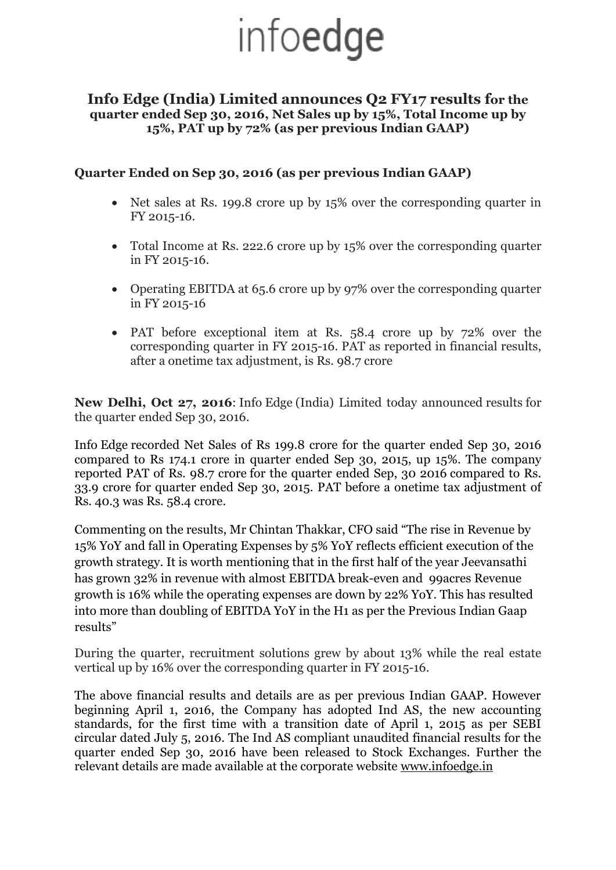# infoedge

#### **Info Edge (India) Limited announces Q2 FY17 results for the quarter ended Sep 30, 2016, Net Sales up by 15%, Total Income up by 15%, PAT up by 72% (as per previous Indian GAAP)**

### **Quarter Ended on Sep 30, 2016 (as per previous Indian GAAP)**

- Net sales at Rs. 199.8 crore up by 15% over the corresponding quarter in FY 2015-16.
- Total Income at Rs. 222.6 crore up by 15% over the corresponding quarter in FY 2015-16.
- Operating EBITDA at 65.6 crore up by 97% over the corresponding quarter in FY 2015-16
- PAT before exceptional item at Rs. 58.4 crore up by 72% over the corresponding quarter in FY 2015-16. PAT as reported in financial results, after a onetime tax adjustment, is Rs. 98.7 crore

**New Delhi, Oct 27, 2016**: Info Edge (India) Limited today announced results for the quarter ended Sep 30, 2016.

Info Edge recorded Net Sales of Rs 199.8 crore for the quarter ended Sep 30, 2016 compared to Rs 174.1 crore in quarter ended Sep 30, 2015, up 15%. The company reported PAT of Rs. 98.7 crore for the quarter ended Sep, 30 2016 compared to Rs. 33.9 crore for quarter ended Sep 30, 2015. PAT before a onetime tax adjustment of Rs. 40.3 was Rs. 58.4 crore.

Commenting on the results, Mr Chintan Thakkar, CFO said "The rise in Revenue by 15% YoY and fall in Operating Expenses by 5% YoY reflects efficient execution of the growth strategy. It is worth mentioning that in the first half of the year Jeevansathi has grown 32% in revenue with almost EBITDA break-even and 99acres Revenue growth is 16% while the operating expenses are down by 22% YoY. This has resulted into more than doubling of EBITDA YoY in the H1 as per the Previous Indian Gaap results"

During the quarter, recruitment solutions grew by about 13% while the real estate vertical up by 16% over the corresponding quarter in FY 2015-16.

The above financial results and details are as per previous Indian GAAP. However beginning April 1, 2016, the Company has adopted Ind AS, the new accounting standards, for the first time with a transition date of April 1, 2015 as per SEBI circular dated July 5, 2016. The Ind AS compliant unaudited financial results for the quarter ended Sep 30, 2016 have been released to Stock Exchanges. Further the relevant details are made available at the corporate website [www.infoedge.in](http://www.infoedge.in/)